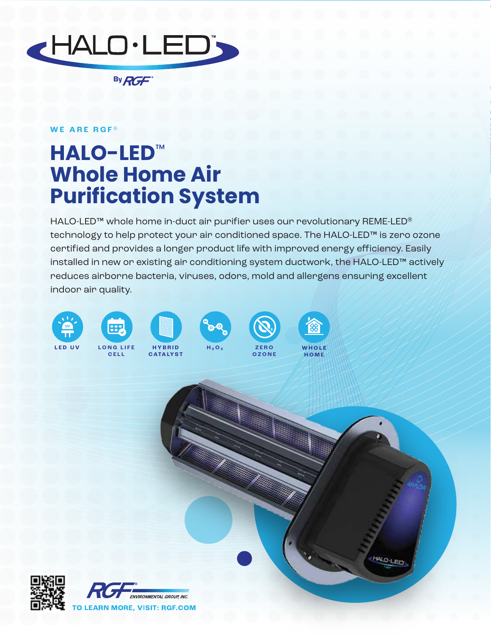

By RGF

## **WE ARE RGF ®**

## **HALO-LED**™ **Whole Home Air Purification System**

HALO-LED™ whole home in-duct air purifier uses our revolutionary REME-LED® technology to help protect your air conditioned space. The HALO-LED™ is zero ozone certified and provides a longer product life with improved energy efficiency. Easily installed in new or existing air conditioning system ductwork, the HALO-LED™ actively reduces airborne bacteria, viruses, odors, mold and allergens ensuring excellent indoor air quality.